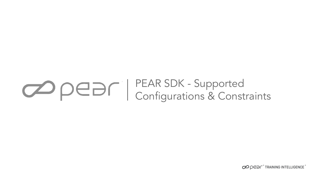# PEAR SDK - Supported Configurations & Constraints

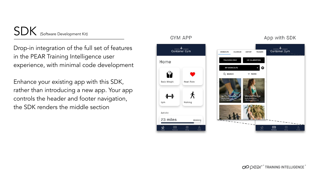SDK (Software Development Kit)

Drop-in integration of the full set of features in the PEAR Training Intelligence user experience, with minimal code development

Enhance your existing app with this SDK, rather than introducing a new app. Your app controls the header and footer navigation, the SDK renders the middle section

#### **GYM APP** App with SDK Container Gym TRAINERS **NORKOUTS** CALENDAR **HISTORY** TRACKING ONLY HR CALIBRATION Home **MY WORKOUTS** 0 ဂ Q SEARCH  $=$  FILTER Body Weight Heart Rate ⊀ Gym Walking Activity 23 miles Walking 凾 ⇧ 凾

OPER<sup>+</sup>TRAINING INTELLIGENCE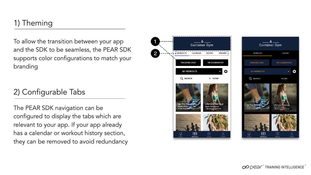# 1) Theming

To allow the transition between your app and the SDK to be seamless, the PEAR SDK supports color configurations to match your branding

## 2) Configurable Tabs

The PEAR SDK navigation can be configured to display the tabs which are relevant to your app. If your app already has a calendar or workout history section, they can be removed to avoid redundancy



2

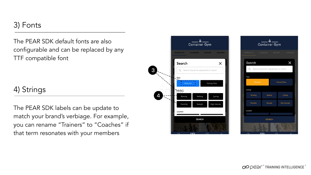#### 3) Fonts

The PEAR SDK default fonts are also configurable and can be replaced by any TTF compatible font

### 4) Strings

The PEAR SDK labels can be update to match your brand's verbiage. For example, you can rename "Trainers" to "Coaches" if that term resonates with your members



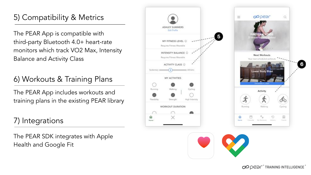# 5) Compatibility & Metrics

The PEAR App is compatible with third-party Bluetooth 4.0+ heart-rate monitors which track VO2 Max, Intensity Balance and Activity Class

# 6) Workouts & Training Plans

The PEAR App includes workouts and training plans in the existing PEAR library

# 7) Integrations

The PEAR SDK integrates with Apple Health and Google Fit



 $\circ$ 

 $\delta$ <sup>c</sup>

Cycling

面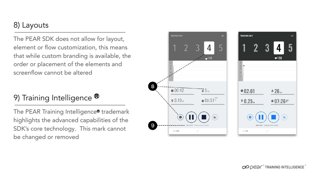### 8) Layouts

The PEAR SDK does not allow for layout, element or flow customization, this means that while custom branding is available, the order or placement of the elements and screenflow cannot be altered

# 9) Training Intelligence <sup>®</sup>

The PEAR Training Intelligence® trademark highlights the advanced capabilities of the SDK's core technology. This mark cannot be changed or removed



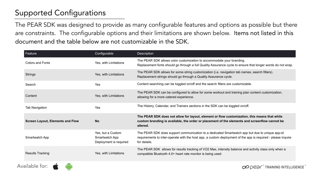# Supported Configurations

The PEAR SDK was designed to provide as many configurable features and options as possible but there are constraints. The configurable options and their limitations are shown below. Items not listed in this document and the table below are not customizable in the SDK.

| Feature                          | Configurable                                                  | Description                                                                                                                                                                                                                    |
|----------------------------------|---------------------------------------------------------------|--------------------------------------------------------------------------------------------------------------------------------------------------------------------------------------------------------------------------------|
| Colors and Fonts                 | Yes, with Limitations                                         | The PEAR SDK allows color customization to accommodate your branding.<br>Replacement fonts should go through a full Quality Assurance cycle to ensure that longer words do not wrap.                                           |
| Strings                          | Yes, with Limitations                                         | The PEAR SDK allows for some string customization (i.e. navigation tab names, search filters).<br>Replacement strings should go through a Quality Assurance cycle.                                                             |
| Search                           | Yes                                                           | Content searching can be toggled on/off and the search filters are customizable.                                                                                                                                               |
| Content                          | Yes, with Limitations                                         | The PEAR SDK can be configured to allow for some workout and training plan content customization,<br>allowing for a more catered experience.                                                                                   |
| <b>Tab Navigation</b>            | Yes                                                           | The History, Calendar, and Trainers sections in the SDK can be toggled on/off.                                                                                                                                                 |
| Screen Layout, Elements and Flow | <b>No</b>                                                     | The PEAR SDK does not allow for layout, element or flow customization, this means that while<br>custom branding is available, the order or placement of the elements and screenflow cannot be<br>altered.                      |
| Smartwatch App                   | Yes, but a Custom<br>Smartwatch App<br>Deployment is required | The PEAR SDK does support communication to a dedicated Smartwatch app but due to unique app-id<br>requirements to inter-operate with the host app, a custom deployment of the app is required - please inquire<br>for details. |
| <b>Results Tracking</b>          | Yes, with Limitations                                         | The PEAR SDK allows for results tracking of VO2 Max, intensity balance and activity class only when a<br>compatible Bluetooth 4.0+ heart rate monitor is being used.                                                           |